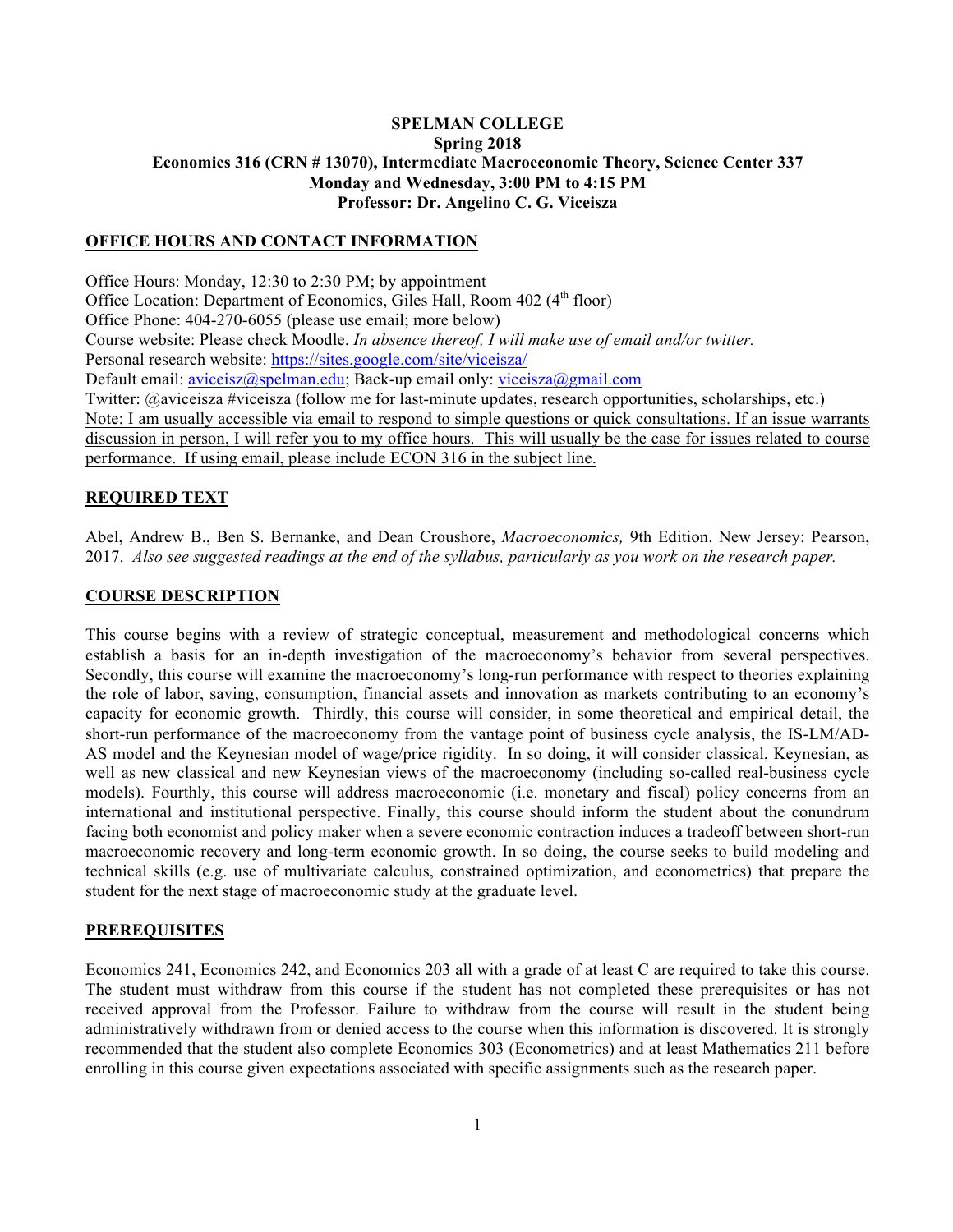### **SPELMAN COLLEGE Spring 2018 Economics 316 (CRN # 13070), Intermediate Macroeconomic Theory, Science Center 337 Monday and Wednesday, 3:00 PM to 4:15 PM Professor: Dr. Angelino C. G. Viceisza**

#### **OFFICE HOURS AND CONTACT INFORMATION**

Office Hours: Monday, 12:30 to 2:30 PM; by appointment Office Location: Department of Economics, Giles Hall, Room 402 (4<sup>th</sup> floor) Office Phone: 404-270-6055 (please use email; more below) Course website: Please check Moodle. *In absence thereof, I will make use of email and/or twitter.*  Personal research website: https://sites.google.com/site/viceisza/ Default email: aviceisz@spelman.edu; Back-up email only: viceisza@gmail.com Twitter: @aviceisza #viceisza (follow me for last-minute updates, research opportunities, scholarships, etc.) Note: I am usually accessible via email to respond to simple questions or quick consultations. If an issue warrants discussion in person, I will refer you to my office hours. This will usually be the case for issues related to course performance. If using email, please include ECON 316 in the subject line.

#### **REQUIRED TEXT**

Abel, Andrew B., Ben S. Bernanke, and Dean Croushore, *Macroeconomics,* 9th Edition. New Jersey: Pearson, 2017. *Also see suggested readings at the end of the syllabus, particularly as you work on the research paper.*

#### **COURSE DESCRIPTION**

This course begins with a review of strategic conceptual, measurement and methodological concerns which establish a basis for an in-depth investigation of the macroeconomy's behavior from several perspectives. Secondly, this course will examine the macroeconomy's long-run performance with respect to theories explaining the role of labor, saving, consumption, financial assets and innovation as markets contributing to an economy's capacity for economic growth. Thirdly, this course will consider, in some theoretical and empirical detail, the short-run performance of the macroeconomy from the vantage point of business cycle analysis, the IS-LM/AD-AS model and the Keynesian model of wage/price rigidity. In so doing, it will consider classical, Keynesian, as well as new classical and new Keynesian views of the macroeconomy (including so-called real-business cycle models). Fourthly, this course will address macroeconomic (i.e. monetary and fiscal) policy concerns from an international and institutional perspective. Finally, this course should inform the student about the conundrum facing both economist and policy maker when a severe economic contraction induces a tradeoff between short-run macroeconomic recovery and long-term economic growth. In so doing, the course seeks to build modeling and technical skills (e.g. use of multivariate calculus, constrained optimization, and econometrics) that prepare the student for the next stage of macroeconomic study at the graduate level.

#### **PREREQUISITES**

Economics 241, Economics 242, and Economics 203 all with a grade of at least C are required to take this course. The student must withdraw from this course if the student has not completed these prerequisites or has not received approval from the Professor. Failure to withdraw from the course will result in the student being administratively withdrawn from or denied access to the course when this information is discovered. It is strongly recommended that the student also complete Economics 303 (Econometrics) and at least Mathematics 211 before enrolling in this course given expectations associated with specific assignments such as the research paper.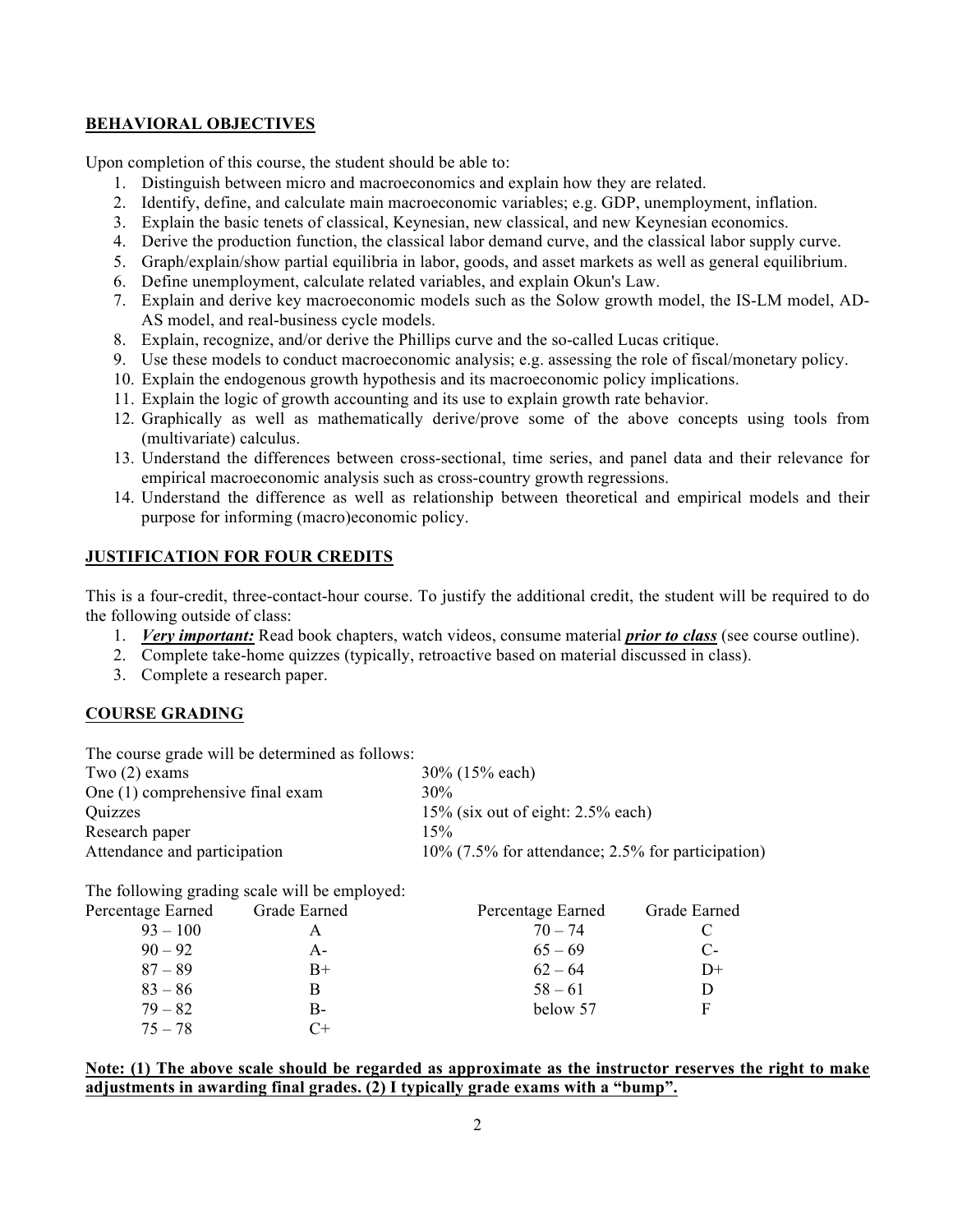### **BEHAVIORAL OBJECTIVES**

Upon completion of this course, the student should be able to:

- 1. Distinguish between micro and macroeconomics and explain how they are related.
- 2. Identify, define, and calculate main macroeconomic variables; e.g. GDP, unemployment, inflation.
- 3. Explain the basic tenets of classical, Keynesian, new classical, and new Keynesian economics.
- 4. Derive the production function, the classical labor demand curve, and the classical labor supply curve.
- 5. Graph/explain/show partial equilibria in labor, goods, and asset markets as well as general equilibrium.
- 6. Define unemployment, calculate related variables, and explain Okun's Law.
- 7. Explain and derive key macroeconomic models such as the Solow growth model, the IS-LM model, AD-AS model, and real-business cycle models.
- 8. Explain, recognize, and/or derive the Phillips curve and the so-called Lucas critique.
- 9. Use these models to conduct macroeconomic analysis; e.g. assessing the role of fiscal/monetary policy.
- 10. Explain the endogenous growth hypothesis and its macroeconomic policy implications.
- 11. Explain the logic of growth accounting and its use to explain growth rate behavior.
- 12. Graphically as well as mathematically derive/prove some of the above concepts using tools from (multivariate) calculus.
- 13. Understand the differences between cross-sectional, time series, and panel data and their relevance for empirical macroeconomic analysis such as cross-country growth regressions.
- 14. Understand the difference as well as relationship between theoretical and empirical models and their purpose for informing (macro)economic policy.

### **JUSTIFICATION FOR FOUR CREDITS**

This is a four-credit, three-contact-hour course. To justify the additional credit, the student will be required to do the following outside of class:

- 1. *Very important:* Read book chapters, watch videos, consume material *prior to class* (see course outline).
- 2. Complete take-home quizzes (typically, retroactive based on material discussed in class).
- 3. Complete a research paper.

# **COURSE GRADING**

The course grade will be determined as follows:

| Two $(2)$ exams                  | $30\%$ (15% each)                                    |
|----------------------------------|------------------------------------------------------|
| One (1) comprehensive final exam | 30%                                                  |
| Quizzes                          | $15\%$ (six out of eight: 2.5% each)                 |
| Research paper                   | 15%                                                  |
| Attendance and participation     | $10\%$ (7.5% for attendance; 2.5% for participation) |

The following grading scale will be employed:

| Percentage Earned | Grade Earned | Percentage Earned | Grade Earned |
|-------------------|--------------|-------------------|--------------|
| $93 - 100$        |              | $70 - 74$         |              |
| $90 - 92$         | A-           | $65 - 69$         | $C$ -        |
| $87 - 89$         | $B+$         | $62 - 64$         | $D+$         |
| $83 - 86$         |              | $58 - 61$         |              |
| $79 - 82$         | B-           | below 57          | E            |
| $75 - 78$         | $C+$         |                   |              |

### **Note: (1) The above scale should be regarded as approximate as the instructor reserves the right to make adjustments in awarding final grades. (2) I typically grade exams with a "bump".**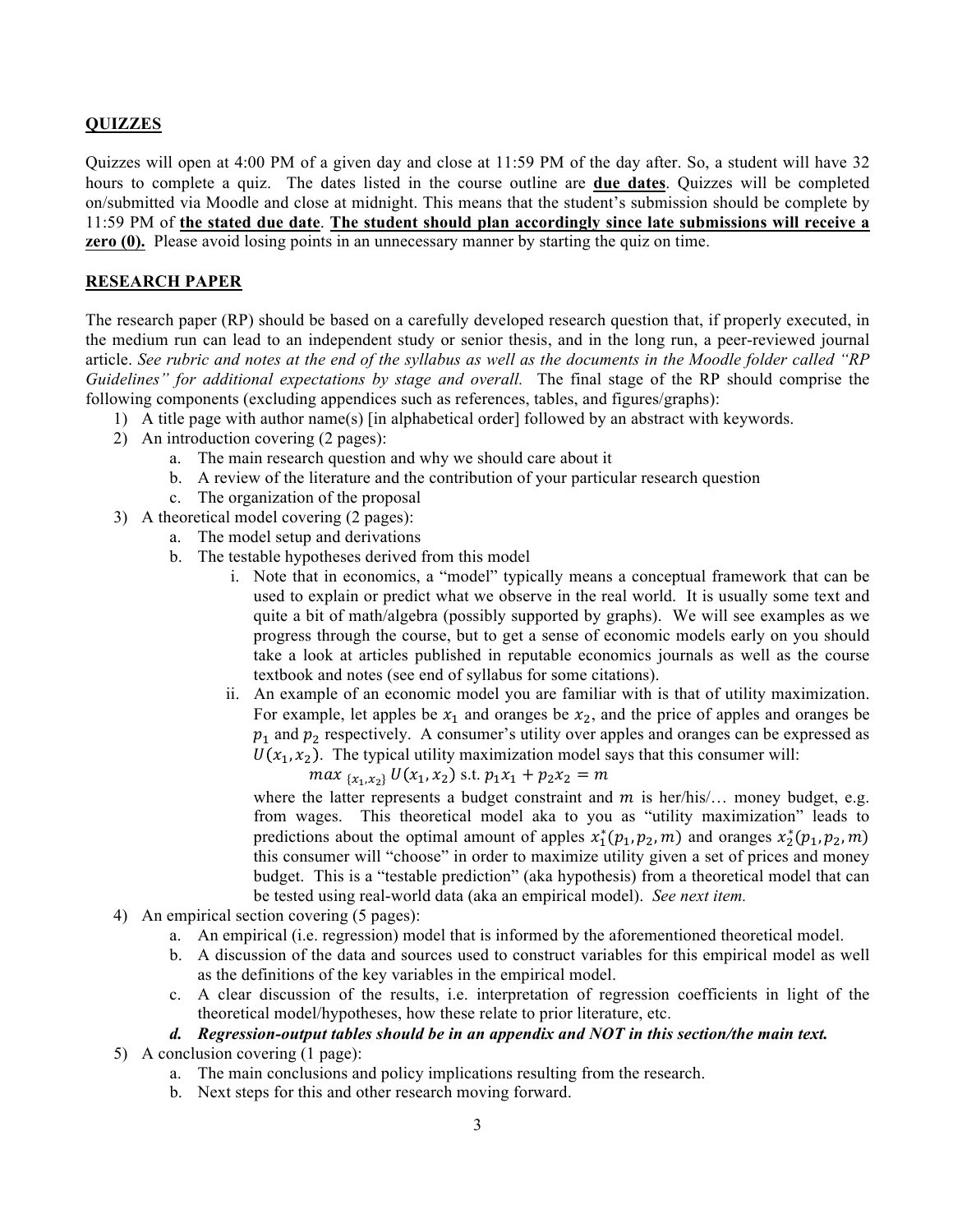## **QUIZZES**

Quizzes will open at 4:00 PM of a given day and close at 11:59 PM of the day after. So, a student will have 32 hours to complete a quiz. The dates listed in the course outline are **due dates**. Quizzes will be completed on/submitted via Moodle and close at midnight. This means that the student's submission should be complete by 11:59 PM of **the stated due date**. **The student should plan accordingly since late submissions will receive a zero (0).** Please avoid losing points in an unnecessary manner by starting the quiz on time.

### **RESEARCH PAPER**

The research paper (RP) should be based on a carefully developed research question that, if properly executed, in the medium run can lead to an independent study or senior thesis, and in the long run, a peer-reviewed journal article. *See rubric and notes at the end of the syllabus as well as the documents in the Moodle folder called "RP Guidelines" for additional expectations by stage and overall.* The final stage of the RP should comprise the following components (excluding appendices such as references, tables, and figures/graphs):

- 1) A title page with author name(s) [in alphabetical order] followed by an abstract with keywords.
- 2) An introduction covering (2 pages):
	- a. The main research question and why we should care about it
	- b. A review of the literature and the contribution of your particular research question
	- c. The organization of the proposal
- 3) A theoretical model covering (2 pages):
	- a. The model setup and derivations
	- b. The testable hypotheses derived from this model
		- i. Note that in economics, a "model" typically means a conceptual framework that can be used to explain or predict what we observe in the real world. It is usually some text and quite a bit of math/algebra (possibly supported by graphs). We will see examples as we progress through the course, but to get a sense of economic models early on you should take a look at articles published in reputable economics journals as well as the course textbook and notes (see end of syllabus for some citations).
		- ii. An example of an economic model you are familiar with is that of utility maximization. For example, let apples be  $x_1$  and oranges be  $x_2$ , and the price of apples and oranges be  $p_1$  and  $p_2$  respectively. A consumer's utility over apples and oranges can be expressed as  $U(x_1, x_2)$ . The typical utility maximization model says that this consumer will:

 $max_{\{x_1, x_2\}} U(x_1, x_2)$  s.t.  $p_1x_1 + p_2x_2 = m$ 

where the latter represents a budget constraint and  $m$  is her/his/... money budget, e.g. from wages. This theoretical model aka to you as "utility maximization" leads to predictions about the optimal amount of apples  $x_1^*(p_1, p_2, m)$  and oranges  $x_2^*(p_1, p_2, m)$ this consumer will "choose" in order to maximize utility given a set of prices and money budget. This is a "testable prediction" (aka hypothesis) from a theoretical model that can be tested using real-world data (aka an empirical model). *See next item.*

- 4) An empirical section covering (5 pages):
	- a. An empirical (i.e. regression) model that is informed by the aforementioned theoretical model.
	- b. A discussion of the data and sources used to construct variables for this empirical model as well as the definitions of the key variables in the empirical model.
	- c. A clear discussion of the results, i.e. interpretation of regression coefficients in light of the theoretical model/hypotheses, how these relate to prior literature, etc.

### *d. Regression-output tables should be in an appendix and NOT in this section/the main text.*

- 5) A conclusion covering (1 page):
	- a. The main conclusions and policy implications resulting from the research.
	- b. Next steps for this and other research moving forward.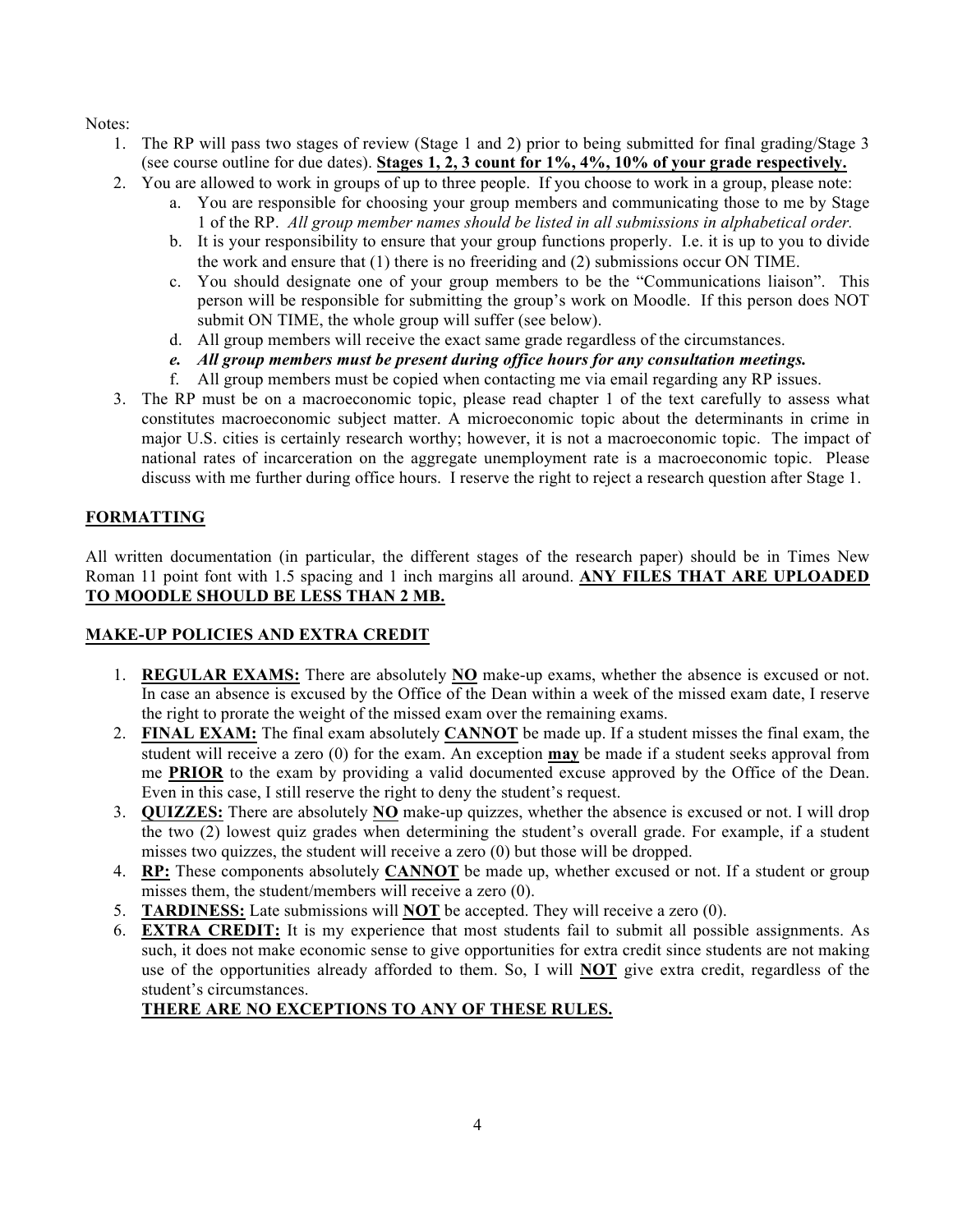Notes:

- 1. The RP will pass two stages of review (Stage 1 and 2) prior to being submitted for final grading/Stage 3 (see course outline for due dates). **Stages 1, 2, 3 count for 1%, 4%, 10% of your grade respectively.**
- 2. You are allowed to work in groups of up to three people. If you choose to work in a group, please note:
	- a. You are responsible for choosing your group members and communicating those to me by Stage 1 of the RP. *All group member names should be listed in all submissions in alphabetical order.*
	- b. It is your responsibility to ensure that your group functions properly. I.e. it is up to you to divide the work and ensure that (1) there is no freeriding and (2) submissions occur ON TIME.
	- c. You should designate one of your group members to be the "Communications liaison". This person will be responsible for submitting the group's work on Moodle. If this person does NOT submit ON TIME, the whole group will suffer (see below).
	- d. All group members will receive the exact same grade regardless of the circumstances.
	- *e. All group members must be present during office hours for any consultation meetings.*
	- f. All group members must be copied when contacting me via email regarding any RP issues.
- 3. The RP must be on a macroeconomic topic, please read chapter 1 of the text carefully to assess what constitutes macroeconomic subject matter. A microeconomic topic about the determinants in crime in major U.S. cities is certainly research worthy; however, it is not a macroeconomic topic. The impact of national rates of incarceration on the aggregate unemployment rate is a macroeconomic topic. Please discuss with me further during office hours. I reserve the right to reject a research question after Stage 1.

# **FORMATTING**

All written documentation (in particular, the different stages of the research paper) should be in Times New Roman 11 point font with 1.5 spacing and 1 inch margins all around. **ANY FILES THAT ARE UPLOADED TO MOODLE SHOULD BE LESS THAN 2 MB.** 

# **MAKE-UP POLICIES AND EXTRA CREDIT**

- 1. **REGULAR EXAMS:** There are absolutely **NO** make-up exams, whether the absence is excused or not. In case an absence is excused by the Office of the Dean within a week of the missed exam date, I reserve the right to prorate the weight of the missed exam over the remaining exams.
- 2. **FINAL EXAM:** The final exam absolutely **CANNOT** be made up. If a student misses the final exam, the student will receive a zero (0) for the exam. An exception **may** be made if a student seeks approval from me **PRIOR** to the exam by providing a valid documented excuse approved by the Office of the Dean. Even in this case, I still reserve the right to deny the student's request.
- 3. **QUIZZES:** There are absolutely **NO** make-up quizzes, whether the absence is excused or not. I will drop the two (2) lowest quiz grades when determining the student's overall grade. For example, if a student misses two quizzes, the student will receive a zero (0) but those will be dropped.
- 4. **RP:** These components absolutely **CANNOT** be made up, whether excused or not. If a student or group misses them, the student/members will receive a zero (0).
- 5. **TARDINESS:** Late submissions will **NOT** be accepted. They will receive a zero (0).
- 6. **EXTRA CREDIT:** It is my experience that most students fail to submit all possible assignments. As such, it does not make economic sense to give opportunities for extra credit since students are not making use of the opportunities already afforded to them. So, I will **NOT** give extra credit, regardless of the student's circumstances.

# **THERE ARE NO EXCEPTIONS TO ANY OF THESE RULES.**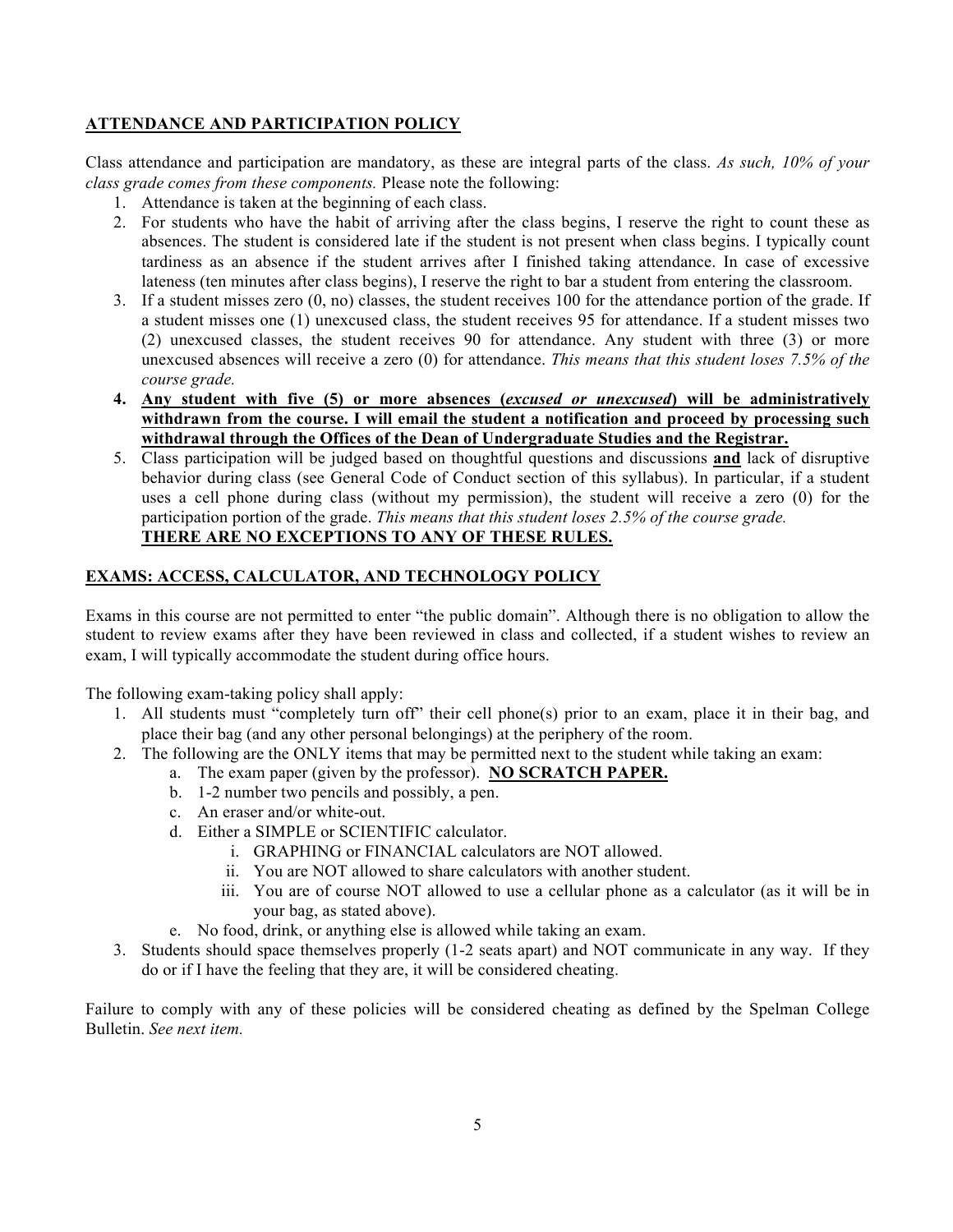# **ATTENDANCE AND PARTICIPATION POLICY**

Class attendance and participation are mandatory, as these are integral parts of the class. *As such, 10% of your class grade comes from these components.* Please note the following:

- 1. Attendance is taken at the beginning of each class.
- 2. For students who have the habit of arriving after the class begins, I reserve the right to count these as absences. The student is considered late if the student is not present when class begins. I typically count tardiness as an absence if the student arrives after I finished taking attendance. In case of excessive lateness (ten minutes after class begins), I reserve the right to bar a student from entering the classroom.
- 3. If a student misses zero (0, no) classes, the student receives 100 for the attendance portion of the grade. If a student misses one (1) unexcused class, the student receives 95 for attendance. If a student misses two (2) unexcused classes, the student receives 90 for attendance. Any student with three (3) or more unexcused absences will receive a zero (0) for attendance. *This means that this student loses 7.5% of the course grade.*
- **4. Any student with five (5) or more absences (***excused or unexcused***) will be administratively withdrawn from the course. I will email the student a notification and proceed by processing such withdrawal through the Offices of the Dean of Undergraduate Studies and the Registrar.**
- 5. Class participation will be judged based on thoughtful questions and discussions **and** lack of disruptive behavior during class (see General Code of Conduct section of this syllabus). In particular, if a student uses a cell phone during class (without my permission), the student will receive a zero (0) for the participation portion of the grade. *This means that this student loses 2.5% of the course grade.* **THERE ARE NO EXCEPTIONS TO ANY OF THESE RULES.**

# **EXAMS: ACCESS, CALCULATOR, AND TECHNOLOGY POLICY**

Exams in this course are not permitted to enter "the public domain". Although there is no obligation to allow the student to review exams after they have been reviewed in class and collected, if a student wishes to review an exam, I will typically accommodate the student during office hours.

The following exam-taking policy shall apply:

- 1. All students must "completely turn off" their cell phone(s) prior to an exam, place it in their bag, and place their bag (and any other personal belongings) at the periphery of the room.
- 2. The following are the ONLY items that may be permitted next to the student while taking an exam:
	- a. The exam paper (given by the professor). **NO SCRATCH PAPER.**
	- b. 1-2 number two pencils and possibly, a pen.
	- c. An eraser and/or white-out.
	- d. Either a SIMPLE or SCIENTIFIC calculator.
		- i. GRAPHING or FINANCIAL calculators are NOT allowed.
		- ii. You are NOT allowed to share calculators with another student.
		- iii. You are of course NOT allowed to use a cellular phone as a calculator (as it will be in your bag, as stated above).
	- e. No food, drink, or anything else is allowed while taking an exam.
- 3. Students should space themselves properly (1-2 seats apart) and NOT communicate in any way. If they do or if I have the feeling that they are, it will be considered cheating.

Failure to comply with any of these policies will be considered cheating as defined by the Spelman College Bulletin. *See next item.*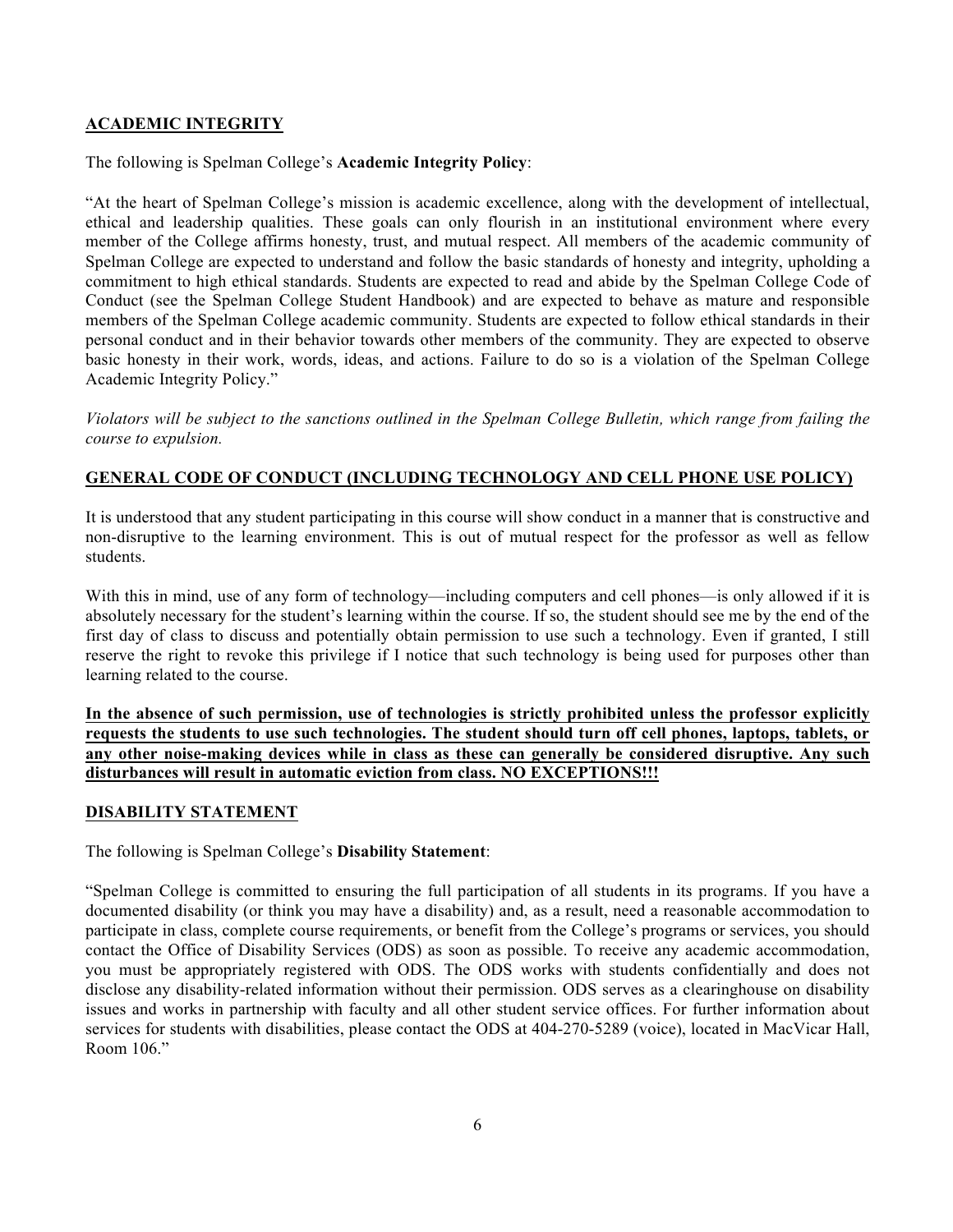### **ACADEMIC INTEGRITY**

The following is Spelman College's **Academic Integrity Policy**:

"At the heart of Spelman College's mission is academic excellence, along with the development of intellectual, ethical and leadership qualities. These goals can only flourish in an institutional environment where every member of the College affirms honesty, trust, and mutual respect. All members of the academic community of Spelman College are expected to understand and follow the basic standards of honesty and integrity, upholding a commitment to high ethical standards. Students are expected to read and abide by the Spelman College Code of Conduct (see the Spelman College Student Handbook) and are expected to behave as mature and responsible members of the Spelman College academic community. Students are expected to follow ethical standards in their personal conduct and in their behavior towards other members of the community. They are expected to observe basic honesty in their work, words, ideas, and actions. Failure to do so is a violation of the Spelman College Academic Integrity Policy."

*Violators will be subject to the sanctions outlined in the Spelman College Bulletin, which range from failing the course to expulsion.*

### **GENERAL CODE OF CONDUCT (INCLUDING TECHNOLOGY AND CELL PHONE USE POLICY)**

It is understood that any student participating in this course will show conduct in a manner that is constructive and non-disruptive to the learning environment. This is out of mutual respect for the professor as well as fellow students.

With this in mind, use of any form of technology—including computers and cell phones—is only allowed if it is absolutely necessary for the student's learning within the course. If so, the student should see me by the end of the first day of class to discuss and potentially obtain permission to use such a technology. Even if granted, I still reserve the right to revoke this privilege if I notice that such technology is being used for purposes other than learning related to the course.

**In the absence of such permission, use of technologies is strictly prohibited unless the professor explicitly requests the students to use such technologies. The student should turn off cell phones, laptops, tablets, or any other noise-making devices while in class as these can generally be considered disruptive. Any such disturbances will result in automatic eviction from class. NO EXCEPTIONS!!!**

### **DISABILITY STATEMENT**

The following is Spelman College's **Disability Statement**:

"Spelman College is committed to ensuring the full participation of all students in its programs. If you have a documented disability (or think you may have a disability) and, as a result, need a reasonable accommodation to participate in class, complete course requirements, or benefit from the College's programs or services, you should contact the Office of Disability Services (ODS) as soon as possible. To receive any academic accommodation, you must be appropriately registered with ODS. The ODS works with students confidentially and does not disclose any disability-related information without their permission. ODS serves as a clearinghouse on disability issues and works in partnership with faculty and all other student service offices. For further information about services for students with disabilities, please contact the ODS at 404-270-5289 (voice), located in MacVicar Hall, Room 106<sup>"</sup>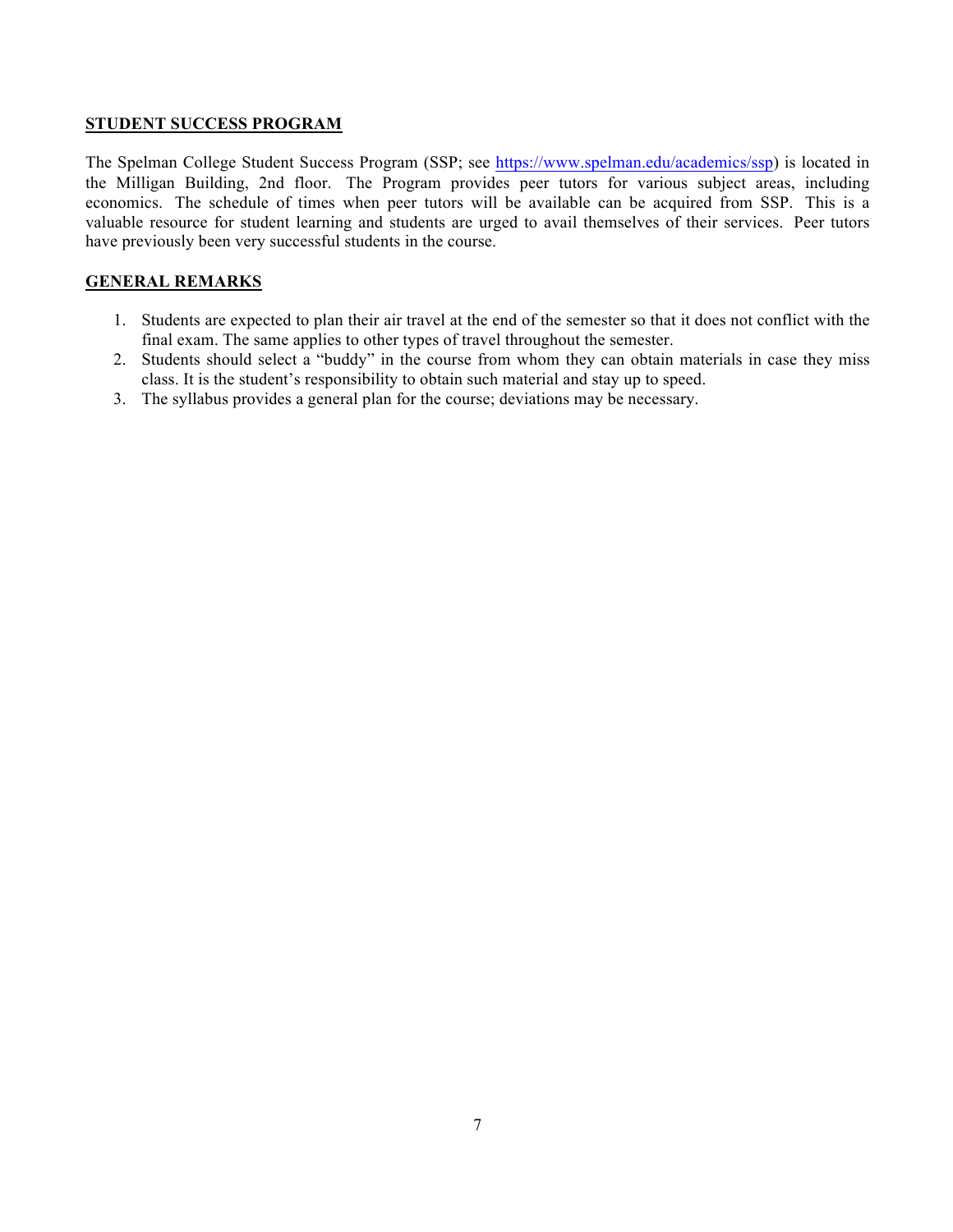### **STUDENT SUCCESS PROGRAM**

The Spelman College Student Success Program (SSP; see https://www.spelman.edu/academics/ssp) is located in the Milligan Building, 2nd floor. The Program provides peer tutors for various subject areas, including economics. The schedule of times when peer tutors will be available can be acquired from SSP. This is a valuable resource for student learning and students are urged to avail themselves of their services. Peer tutors have previously been very successful students in the course.

### **GENERAL REMARKS**

- 1. Students are expected to plan their air travel at the end of the semester so that it does not conflict with the final exam. The same applies to other types of travel throughout the semester.
- 2. Students should select a "buddy" in the course from whom they can obtain materials in case they miss class. It is the student's responsibility to obtain such material and stay up to speed.
- 3. The syllabus provides a general plan for the course; deviations may be necessary.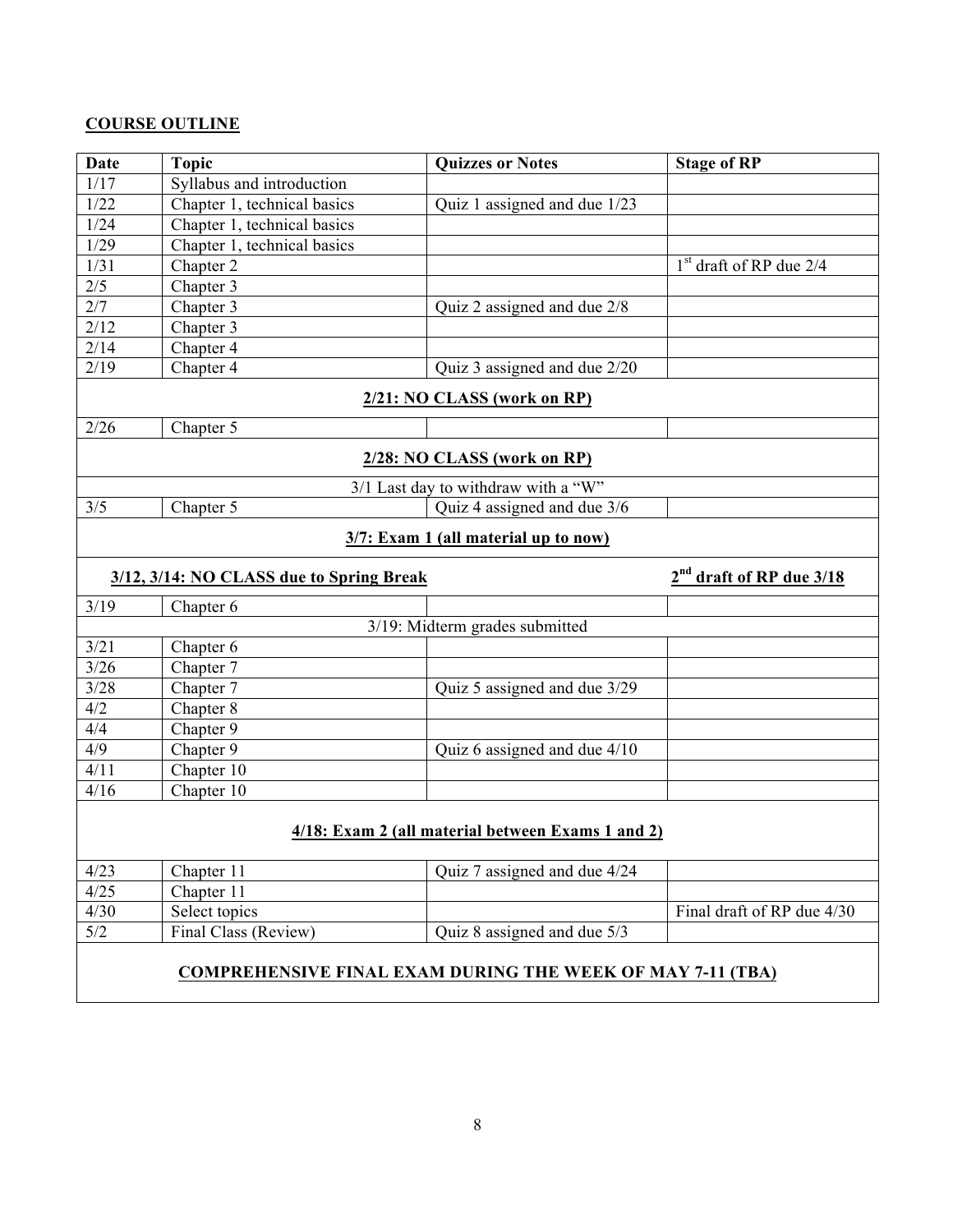# **COURSE OUTLINE**

| <b>Date</b>                                                       | <b>Topic</b>                             | <b>Quizzes or Notes</b>              | <b>Stage of RP</b>                   |  |  |
|-------------------------------------------------------------------|------------------------------------------|--------------------------------------|--------------------------------------|--|--|
| 1/17                                                              | Syllabus and introduction                |                                      |                                      |  |  |
| 1/22                                                              | Chapter 1, technical basics              | Quiz 1 assigned and due 1/23         |                                      |  |  |
| 1/24                                                              | Chapter 1, technical basics              |                                      |                                      |  |  |
| 1/29                                                              | Chapter 1, technical basics              |                                      |                                      |  |  |
| 1/31                                                              | Chapter 2                                |                                      | $1st$ draft of RP due 2/4            |  |  |
| 2/5                                                               | Chapter 3                                |                                      |                                      |  |  |
| 2/7                                                               | Chapter 3                                | Quiz 2 assigned and due 2/8          |                                      |  |  |
| 2/12                                                              | Chapter 3                                |                                      |                                      |  |  |
| 2/14                                                              | Chapter 4                                |                                      |                                      |  |  |
| 2/19                                                              | Chapter 4                                | Quiz 3 assigned and due 2/20         |                                      |  |  |
|                                                                   |                                          | 2/21: NO CLASS (work on RP)          |                                      |  |  |
| 2/26                                                              | Chapter 5                                |                                      |                                      |  |  |
|                                                                   |                                          | 2/28: NO CLASS (work on RP)          |                                      |  |  |
|                                                                   |                                          | 3/1 Last day to withdraw with a "W"  |                                      |  |  |
| 3/5                                                               | Chapter 5                                | Quiz 4 assigned and due 3/6          |                                      |  |  |
|                                                                   |                                          | 3/7: Exam 1 (all material up to now) |                                      |  |  |
|                                                                   | 3/12, 3/14: NO CLASS due to Spring Break |                                      | 2 <sup>nd</sup> draft of RP due 3/18 |  |  |
| 3/19                                                              | Chapter 6                                |                                      |                                      |  |  |
|                                                                   |                                          | 3/19: Midterm grades submitted       |                                      |  |  |
| 3/21                                                              | Chapter 6                                |                                      |                                      |  |  |
| 3/26                                                              | Chapter 7                                |                                      |                                      |  |  |
| 3/28                                                              | Chapter 7                                | Quiz 5 assigned and due 3/29         |                                      |  |  |
| 4/2                                                               | Chapter 8                                |                                      |                                      |  |  |
| 4/4                                                               | Chapter 9                                |                                      |                                      |  |  |
| 4/9                                                               | Chapter 9                                | Quiz 6 assigned and due $4/10$       |                                      |  |  |
| 4/11                                                              | Chapter 10                               |                                      |                                      |  |  |
| 4/16                                                              | Chapter 10                               |                                      |                                      |  |  |
| 4/18: Exam 2 (all material between Exams 1 and 2)                 |                                          |                                      |                                      |  |  |
|                                                                   |                                          |                                      |                                      |  |  |
| 4/23                                                              | Chapter 11                               | Quiz 7 assigned and due 4/24         |                                      |  |  |
| 4/25                                                              | Chapter 11                               |                                      |                                      |  |  |
| 4/30                                                              | Select topics                            |                                      | Final draft of RP due 4/30           |  |  |
| $5/2$                                                             | Final Class (Review)                     | Quiz 8 assigned and due 5/3          |                                      |  |  |
| <b>COMPREHENSIVE FINAL EXAM DURING THE WEEK OF MAY 7-11 (TBA)</b> |                                          |                                      |                                      |  |  |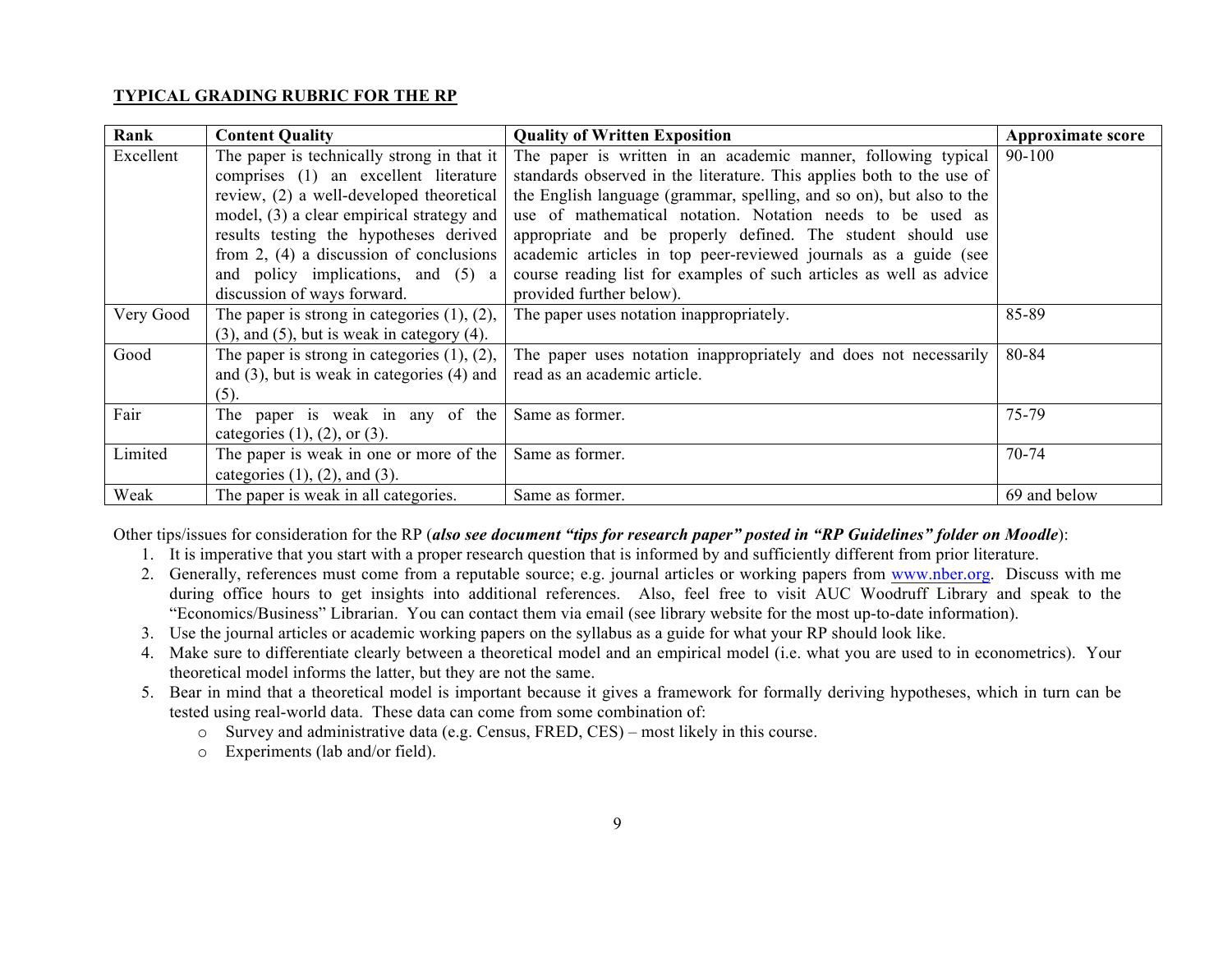#### **TYPICAL GRADING RUBRIC FOR THE RP**

| Rank      | <b>Content Quality</b>                              | <b>Quality of Written Exposition</b>                                  | Approximate score |
|-----------|-----------------------------------------------------|-----------------------------------------------------------------------|-------------------|
| Excellent | The paper is technically strong in that it          | The paper is written in an academic manner, following typical         | 90-100            |
|           | comprises (1) an excellent literature               | standards observed in the literature. This applies both to the use of |                   |
|           | review, (2) a well-developed theoretical            | the English language (grammar, spelling, and so on), but also to the  |                   |
|           | model, (3) a clear empirical strategy and           | use of mathematical notation. Notation needs to be used as            |                   |
|           | results testing the hypotheses derived              | appropriate and be properly defined. The student should use           |                   |
|           | from $2$ , (4) a discussion of conclusions          | academic articles in top peer-reviewed journals as a guide (see       |                   |
|           | and policy implications, and (5) a                  | course reading list for examples of such articles as well as advice   |                   |
|           | discussion of ways forward.                         | provided further below).                                              |                   |
| Very Good | The paper is strong in categories $(1)$ , $(2)$ ,   | The paper uses notation inappropriately.                              | 85-89             |
|           | $(3)$ , and $(5)$ , but is weak in category $(4)$ . |                                                                       |                   |
| Good      | The paper is strong in categories $(1)$ , $(2)$ ,   | The paper uses notation inappropriately and does not necessarily      | 80-84             |
|           | and $(3)$ , but is weak in categories $(4)$ and     | read as an academic article.                                          |                   |
|           | (5).                                                |                                                                       |                   |
| Fair      | The paper is weak in any of the                     | Same as former.                                                       | 75-79             |
|           | categories $(1)$ , $(2)$ , or $(3)$ .               |                                                                       |                   |
| Limited   | The paper is weak in one or more of the             | Same as former.                                                       | 70-74             |
|           | categories $(1)$ , $(2)$ , and $(3)$ .              |                                                                       |                   |
| Weak      | The paper is weak in all categories.                | Same as former.                                                       | 69 and below      |

Other tips/issues for consideration for the RP (*also see document "tips for research paper" posted in "RP Guidelines" folder on Moodle*):

- 1. It is imperative that you start with a proper research question that is informed by and sufficiently different from prior literature.
- 2. Generally, references must come from a reputable source; e.g. journal articles or working papers from www.nber.org. Discuss with me during office hours to get insights into additional references. Also, feel free to visit AUC Woodruff Library and speak to the "Economics/Business" Librarian. You can contact them via email (see library website for the most up-to-date information).
- 3. Use the journal articles or academic working papers on the syllabus as a guide for what your RP should look like.
- 4. Make sure to differentiate clearly between a theoretical model and an empirical model (i.e. what you are used to in econometrics). Your theoretical model informs the latter, but they are not the same.
- 5. Bear in mind that a theoretical model is important because it gives a framework for formally deriving hypotheses, which in turn can be tested using real-world data. These data can come from some combination of:
	- $\circ$  Survey and administrative data (e.g. Census, FRED, CES) most likely in this course.
	- o Experiments (lab and/or field).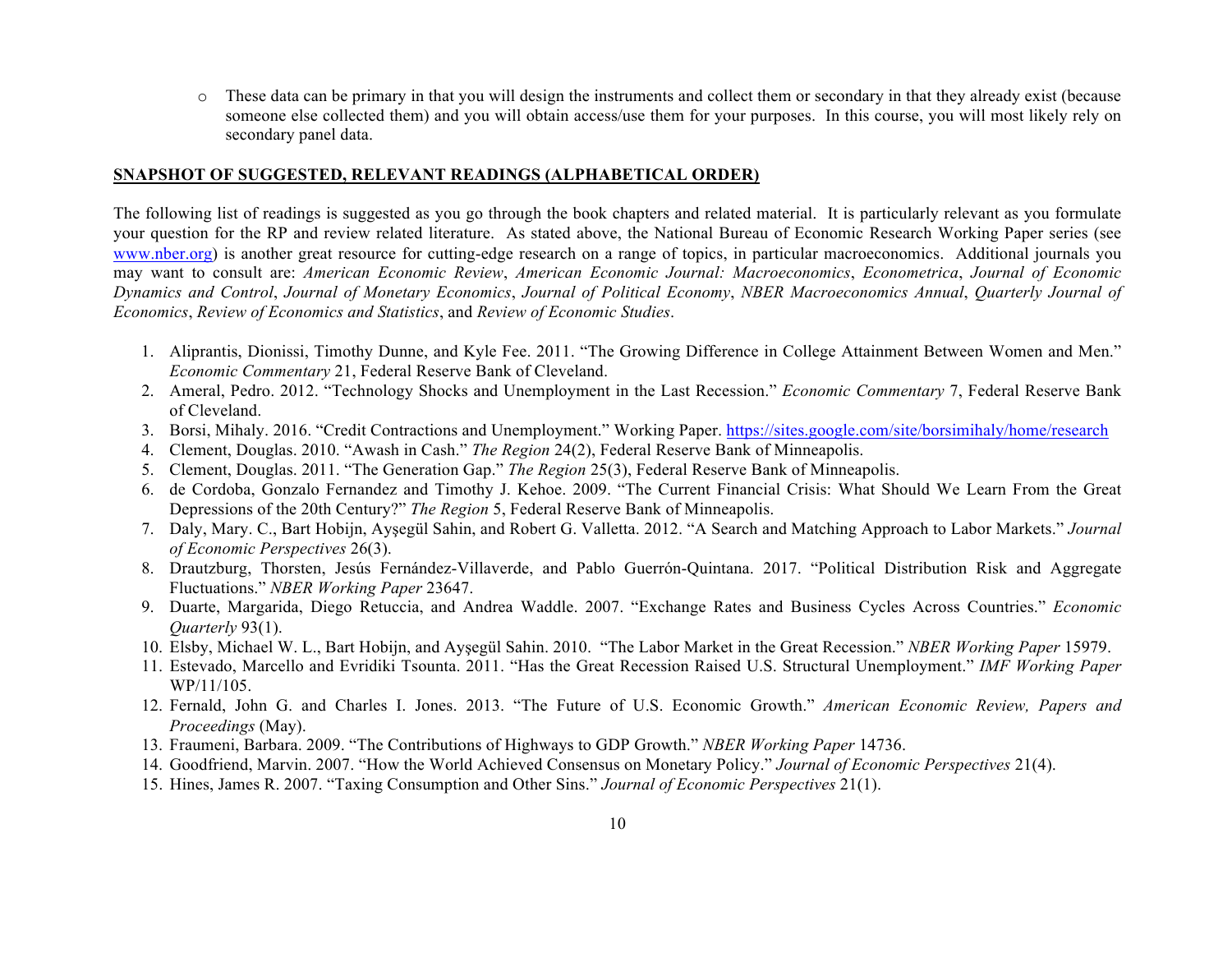o These data can be primary in that you will design the instruments and collect them or secondary in that they already exist (because someone else collected them) and you will obtain access/use them for your purposes. In this course, you will most likely rely on secondary panel data.

#### **SNAPSHOT OF SUGGESTED, RELEVANT READINGS (ALPHABETICAL ORDER)**

The following list of readings is suggested as you go through the book chapters and related material. It is particularly relevant as you formulate your question for the RP and review related literature. As stated above, the National Bureau of Economic Research Working Paper series (see www.nber.org) is another great resource for cutting-edge research on a range of topics, in particular macroeconomics. Additional journals you may want to consult are: *American Economic Review*, *American Economic Journal: Macroeconomics*, *Econometrica*, *Journal of Economic Dynamics and Control*, *Journal of Monetary Economics*, *Journal of Political Economy*, *NBER Macroeconomics Annual*, *Quarterly Journal of Economics*, *Review of Economics and Statistics*, and *Review of Economic Studies*.

- 1. Aliprantis, Dionissi, Timothy Dunne, and Kyle Fee. 2011. "The Growing Difference in College Attainment Between Women and Men." *Economic Commentary* 21, Federal Reserve Bank of Cleveland.
- 2. Ameral, Pedro. 2012. "Technology Shocks and Unemployment in the Last Recession." *Economic Commentary* 7, Federal Reserve Bank of Cleveland.
- 3. Borsi, Mihaly. 2016. "Credit Contractions and Unemployment." Working Paper. https://sites.google.com/site/borsimihaly/home/research
- 4. Clement, Douglas. 2010. "Awash in Cash." *The Region* 24(2), Federal Reserve Bank of Minneapolis.
- 5. Clement, Douglas. 2011. "The Generation Gap." *The Region* 25(3), Federal Reserve Bank of Minneapolis.
- 6. de Cordoba, Gonzalo Fernandez and Timothy J. Kehoe. 2009. "The Current Financial Crisis: What Should We Learn From the Great Depressions of the 20th Century?" *The Region* 5, Federal Reserve Bank of Minneapolis.
- 7. Daly, Mary. C., Bart Hobijn, Ayşegül Sahin, and Robert G. Valletta. 2012. "A Search and Matching Approach to Labor Markets." *Journal of Economic Perspectives* 26(3).
- 8. Drautzburg, Thorsten, Jesús Fernández-Villaverde, and Pablo Guerrón-Quintana. 2017. "Political Distribution Risk and Aggregate Fluctuations." *NBER Working Paper* 23647.
- 9. Duarte, Margarida, Diego Retuccia, and Andrea Waddle. 2007. "Exchange Rates and Business Cycles Across Countries." *Economic Quarterly* 93(1).
- 10. Elsby, Michael W. L., Bart Hobijn, and Ayşegül Sahin. 2010. "The Labor Market in the Great Recession." *NBER Working Paper* 15979.
- 11. Estevado, Marcello and Evridiki Tsounta. 2011. "Has the Great Recession Raised U.S. Structural Unemployment." *IMF Working Paper* WP/11/105.
- 12. Fernald, John G. and Charles I. Jones. 2013. "The Future of U.S. Economic Growth." *American Economic Review, Papers and Proceedings* (May).
- 13. Fraumeni, Barbara. 2009. "The Contributions of Highways to GDP Growth." *NBER Working Paper* 14736.
- 14. Goodfriend, Marvin. 2007. "How the World Achieved Consensus on Monetary Policy." *Journal of Economic Perspectives* 21(4).
- 15. Hines, James R. 2007. "Taxing Consumption and Other Sins." *Journal of Economic Perspectives* 21(1).